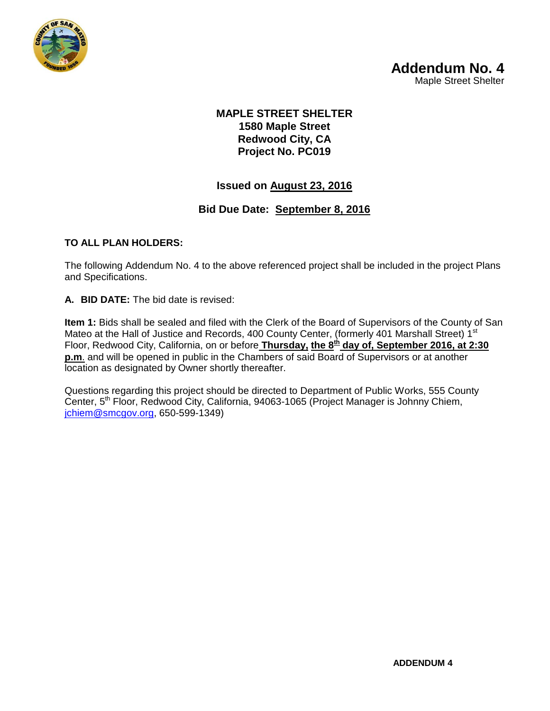

### **MAPLE STREET SHELTER 1580 Maple Street Redwood City, CA Project No. PC019**

## **Issued on August 23, 2016**

## **Bid Due Date: September 8, 2016**

#### **TO ALL PLAN HOLDERS:**

The following Addendum No. 4 to the above referenced project shall be included in the project Plans and Specifications.

**A. BID DATE:** The bid date is revised:

**Item 1:** Bids shall be sealed and filed with the Clerk of the Board of Supervisors of the County of San Mateo at the Hall of Justice and Records, 400 County Center, (formerly 401 Marshall Street) 1<sup>st</sup> Floor, Redwood City, California, on or before **Thursday, the 8th day of, September 2016, at 2:30 p.m**. and will be opened in public in the Chambers of said Board of Supervisors or at another location as designated by Owner shortly thereafter.

Questions regarding this project should be directed to Department of Public Works, 555 County Center, 5<sup>th</sup> Floor, Redwood City, California, 94063-1065 (Project Manager is Johnny Chiem, [jchiem@smcgov.org,](mailto:jchiem@smcgov.org) 650-599-1349)